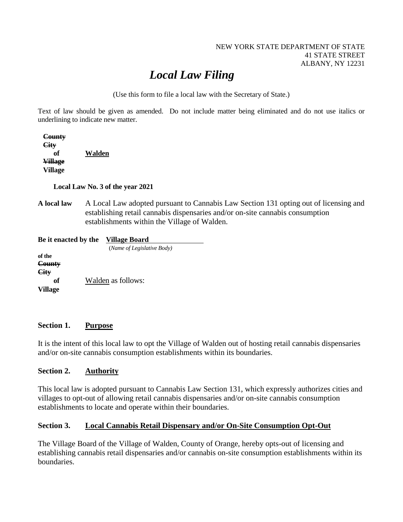#### NEW YORK STATE DEPARTMENT OF STATE 41 STATE STREET ALBANY, NY 12231

# *Local Law Filing*

(Use this form to file a local law with the Secretary of State.)

Text of law should be given as amended. Do not include matter being eliminated and do not use italics or underlining to indicate new matter.

| County         |        |
|----------------|--------|
| <b>City</b>    |        |
| оť             | Walden |
| <b>Village</b> |        |
| <b>Village</b> |        |

 **Local Law No. 3 of the year 2021**

**A local law** A Local Law adopted pursuant to Cannabis Law Section 131 opting out of licensing and establishing retail cannabis dispensaries and/or on-site cannabis consumption establishments within the Village of Walden.

| Be it enacted by the | Village Board              |
|----------------------|----------------------------|
|                      | (Name of Legislative Body) |
| of the<br>County     |                            |
| City<br>of           | Walden as follows:         |
| <b>Village</b>       |                            |

#### **Section 1. Purpose**

It is the intent of this local law to opt the Village of Walden out of hosting retail cannabis dispensaries and/or on-site cannabis consumption establishments within its boundaries.

### **Section 2. Authority**

This local law is adopted pursuant to Cannabis Law Section 131, which expressly authorizes cities and villages to opt-out of allowing retail cannabis dispensaries and/or on-site cannabis consumption establishments to locate and operate within their boundaries.

### **Section 3. Local Cannabis Retail Dispensary and/or On-Site Consumption Opt-Out**

The Village Board of the Village of Walden, County of Orange, hereby opts-out of licensing and establishing cannabis retail dispensaries and/or cannabis on-site consumption establishments within its boundaries.